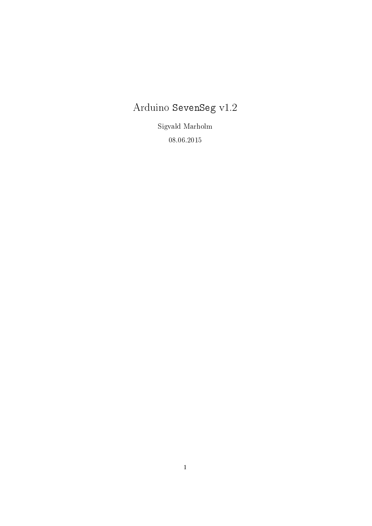# Arduino SevenSeg v1.2

Sigvald Marholm 08.06.2015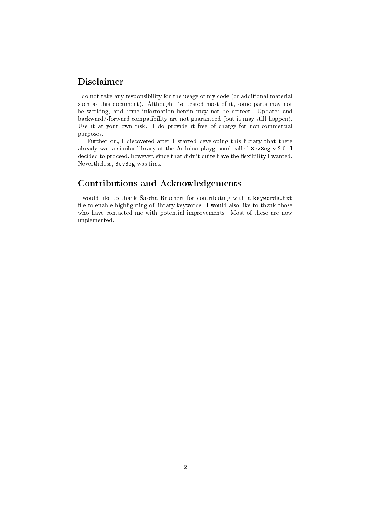# Disclaimer

I do not take any responsibility for the usage of my code (or additional material such as this document). Although I've tested most of it, some parts may not be working, and some information herein may not be correct. Updates and backward/-forward compatibility are not guaranteed (but it may still happen). Use it at your own risk. I do provide it free of charge for non-commercial purposes.

Further on, I discovered after I started developing this library that there already was a similar library at the Arduino playground called SevSeg v.2.0. I decided to proceed, however, since that didn't quite have the flexibility I wanted. Nevertheless, SevSeg was first.

# Contributions and Acknowledgements

I would like to thank Sascha Brüchert for contributing with a keywords.txt file to enable highlighting of library keywords. I would also like to thank those who have contacted me with potential improvements. Most of these are now implemented.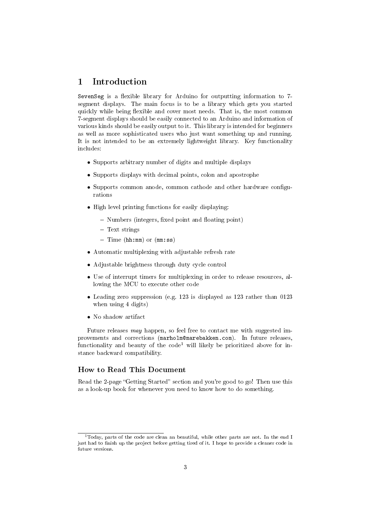## 1 Introduction

SevenSeg is a flexible library for Arduino for outputting information to 7segment displays. The main focus is to be a library which gets you started quickly while being flexible and cover most needs. That is, the most common 7-segment displays should be easily connected to an Arduino and information of various kinds should be easily output to it. This library is intended for beginners as well as more sophisticated users who just want something up and running. It is not intended to be an extremely lightweight library. Key functionality includes:

- Supports arbitrary number of digits and multiple displays
- Supports displays with decimal points, colon and apostrophe
- Supports common anode, common cathode and other hardware configurations
- High level printing functions for easily displaying:
	- Numbers (integers, fixed point and floating point)
	- Text strings
	- $-$  Time (hh:mm) or (mm:ss)
- Automatic multiplexing with adjustable refresh rate
- Adjustable brightness through duty cycle control
- Use of interrupt timers for multiplexing in order to release resources, allowing the MCU to execute other code
- Leading zero suppression (e.g. 123 is displayed as 123 rather than 0123 when using 4 digits)
- No shadow artifact

Future releases may happen, so feel free to contact me with suggested improvements and corrections (marholm@marebakken.com). In future releases, functionality and beauty of the  $\text{code}^1$  will likely be prioritized above for instance backward compatibility.

### How to Read This Document

Read the 2-page "Getting Started" section and you're good to go! Then use this as a look-up book for whenever you need to know how to do something.

<sup>1</sup>Today, parts of the code are clean an beautiful, while other parts are not. In the end I just had to finish up the project before getting tired of it. I hope to provide a cleaner code in future versions.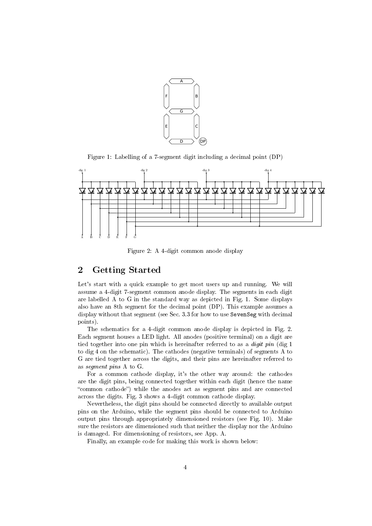

Figure 1: Labelling of a 7-segment digit including a decimal point (DP)



Figure 2: A 4-digit common anode display

# 2 Getting Started

Let's start with a quick example to get most users up and running. We will assume a 4-digit 7-segment common anode display. The segments in each digit are labelled A to G in the standard way as depicted in Fig. 1. Some displays also have an 8th segment for the decimal point (DP). This example assumes a display without that segment (see Sec. 3.3 for how to use SevenSeg with decimal points).

The schematics for a 4-digit common anode display is depicted in Fig. 2. Each segment houses a LED light. All anodes (positive terminal) on a digit are tied together into one pin which is hereinafter referred to as a digit pin (dig 1 to dig 4 on the schematic). The cathodes (negative terminals) of segments A to G are tied together across the digits, and their pins are hereinafter referred to as segment pins A to G.

For a common cathode display, it's the other way around: the cathodes are the digit pins, being connected together within each digit (hence the name "common cathode") while the anodes act as segment pins and are connected across the digits. Fig. 3 shows a 4-digit common cathode display.

Nevertheless, the digit pins should be connected directly to available output pins on the Arduino, while the segment pins should be connected to Arduino output pins through appropriately dimensioned resistors (see Fig. 10). Make sure the resistors are dimensioned such that neither the display nor the Arduino is damaged. For dimensioning of resistors, see App. A.

Finally, an example code for making this work is shown below: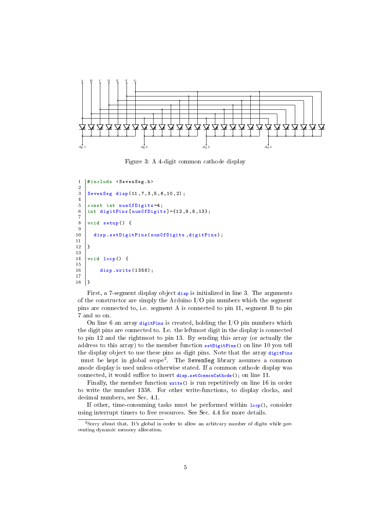

Figure 3: A 4-digit common cathode display

```
1 | #include < SevenSeg.h>
2
3 SevenSeg disp (11 ,7 ,3 ,5 ,6 ,10 ,2) ;
4
5 const int numOfDigits=4;
6 | int digitPins [numOfDigits] ={12,9,8,13};
7
8 void setup () {
\begin{array}{c} 9 \\ 10 \end{array}disp . setDigitPins ( numOfDigits , digitPins ) ;
11
12 \mid13
14 void loop() {
\frac{15}{16}disp write (1358);
17
18 | ]
```
First, a 7-segment display object disp is initialized in line 3. The arguments of the constructor are simply the Arduino  $I/O$  pin numbers which the segment pins are connected to, i.e. segment A is connected to pin 11, segment B to pin 7 and so on.

On line 6 an array digitPins is created, holding the  $I/O$  pin numbers which the digit pins are connected to. I.e. the leftmost digit in the display is connected to pin 12 and the rightmost to pin 13. By sending this array (or actually the address to this array) to the member function setDigitPins() on line 10 you tell the display object to use these pins as digit pins. Note that the array digitPins must be kept in global scope<sup>2</sup> . The SevenSeg library assumes a common anode display is used unless otherwise stated. If a common cathode display was connected, it would suffice to insert disp. setCommonCathode(): on line 11.

Finally, the member function write() is run repetitively on line 16 in order to write the number 1358. For other write-functions, to display clocks, and decimal numbers, see Sec. 4.1.

If other, time-consuming tasks must be performed within loop(), consider using interrupt timers to free resources. See Sec. 4.4 for more details.

<sup>2</sup>Sorry about that. It's global in order to allow an arbitrary number of digits while preventing dynamic memory allocation.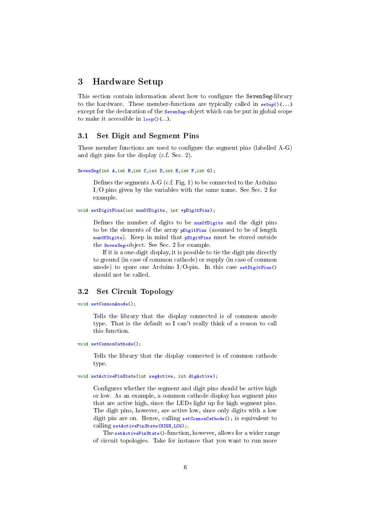### 3 Hardware Setup

This section contain information about how to configure the SevenSeg-library to the hardware. These member-functions are typically called in  $\text{setup}()$ ... except for the declaration of the sevenseg-object which can be put in global scope to make it accessible in  $loop()$ .  $\}$ .

#### 3.1 Set Digit and Segment Pins

These member functions are used to configure the segment pins (labelled  $A-G$ ) and digit pins for the display (c.f. Sec. 2).

```
SevenSeg(int A,int B,int C,int D,int E,int F,int G);
```
Defines the segments  $A-G$  (c.f. Fig. 1) to be connected to the Arduino I/O pins given by the variables with the same name. See Sec. 2 for example.

#### void setDigitPins(int numOfDigits, int \*pDigitPins);

Defines the number of digits to be  $numOfDigits$  and the digit pins to be the elements of the array pligitPins (assumed to be of length numOfDigits). Keep in mind that pDigitPins must be stored outside the SevenSeg-object. See Sec. 2 for example.

If it is a one-digit display, it is possible to tie the digit pin directly to ground (in case of common cathode) or supply (in case of common anode) to spare one Arduino I/O-pin. In this case setDigitPins() should not be called.

### 3.2 Set Circuit Topology

#### void setCommonAnode();

Tells the library that the display connected is of common anode type. That is the default so I can't really think of a reason to call this function.

#### void setCommonCathode();

Tells the library that the display connected is of common cathode type.

#### void setActivePinState(int segActive, int digActive);

Configures whether the segment and digit pins should be active high or low. As an example, a common cathode display has segment pins that are active high, since the LEDs light up for high segment pins. The digit pins, however, are active low, since only digits with a low digit pin are on. Hence, calling setCommonCathode(); is equivalent to calling setActivePinState(HIGH,LOW);.

The setActivePinState()-function, however, allows for a wider range of circuit topologies. Take for instance that you want to run more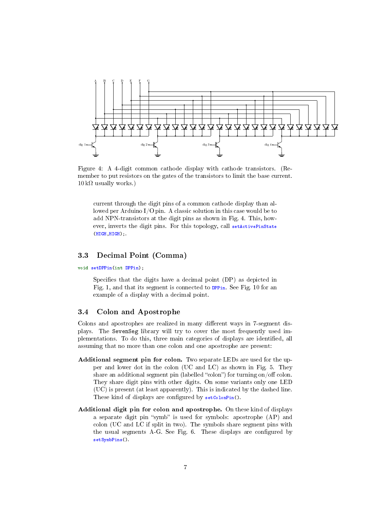

Figure 4: A 4-digit common cathode display with cathode transistors. (Remember to put resistors on the gates of the transistors to limit the base current.  $10 \text{ k}\Omega$  usually works.)

current through the digit pins of a common cathode display than allowed per Arduino I/O pin. A classic solution in this case would be to add NPN-transistors at the digit pins as shown in Fig. 4. This, however, inverts the digit pins. For this topology, call setActivePinState (HIGH,HIGH);.

### 3.3 Decimal Point (Comma)

void setDPPin(int DPPin);

Specifies that the digits have a decimal point (DP) as depicted in Fig. 1, and that its segment is connected to DPPin. See Fig. 10 for an example of a display with a decimal point.

### 3.4 Colon and Apostrophe

Colons and apostrophes are realized in many different ways in 7-segment displays. The SevenSeg library will try to cover the most frequently used implementations. To do this, three main categories of displays are identified, all assuming that no more than one colon and one apostrophe are present:

- Additional segment pin for colon. Two separate LEDs are used for the upper and lower dot in the colon (UC and LC) as shown in Fig. 5. They share an additional segment pin (labelled "colon") for turning on/off colon. They share digit pins with other digits. On some variants only one LED (UC) is present (at least apparently). This is indicated by the dashed line. These kind of displays are configured by setColonPin().
- Additional digit pin for colon and apostrophe. On these kind of displays a separate digit pin "symb" is used for symbols: apostrophe (AP) and colon (UC and LC if split in two). The symbols share segment pins with the usual segments A-G. See Fig. 6. These displays are configured by setSymbPins().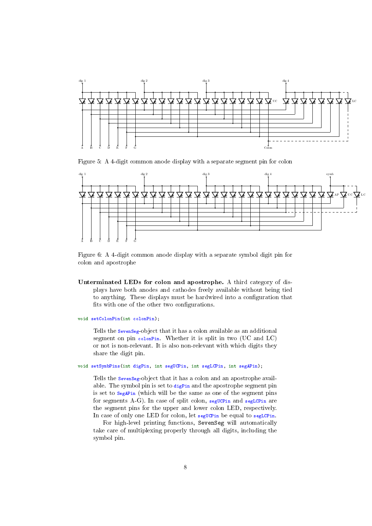

Figure 5: A 4-digit common anode display with a separate segment pin for colon



Figure 6: A 4-digit common anode display with a separate symbol digit pin for colon and apostrophe

- Unterminated LEDs for colon and apostrophe. A third category of displays have both anodes and cathodes freely available without being tied to anything. These displays must be hardwired into a configuration that fits with one of the other two configurations.
- void setColonPin(int colonPin);

Tells the SevenSeg-object that it has a colon available as an additional segment on pin colonPin. Whether it is split in two (UC and LC) or not is non-relevant. It is also non-relevant with which digits they share the digit pin.

#### void setSymbPins(int digPin, int segUCPin, int segLCPin, int segAPin);

Tells the **SevenSeg-object** that it has a colon and an apostrophe available. The symbol pin is set to digPin and the apostrophe segment pin is set to SegAPin (which will be the same as one of the segment pins for segments A-G). In case of split colon, segucpin and segLCPin are the segment pins for the upper and lower colon LED, respectively. In case of only one LED for colon, let seguer be equal to seguerin.

For high-level printing functions, SevenSeg will automatically take care of multiplexing properly through all digits, including the symbol pin.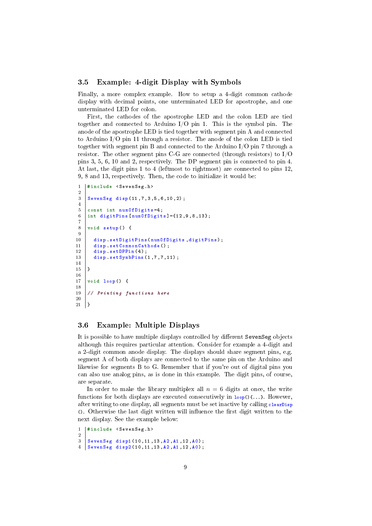### 3.5 Example: 4-digit Display with Symbols

Finally, a more complex example. How to setup a 4-digit common cathode display with decimal points, one unterminated LED for apostrophe, and one unterminated LED for colon.

First, the cathodes of the apostrophe LED and the colon LED are tied together and connected to Arduino  $I/O$  pin 1. This is the symbol pin. The anode of the apostrophe LED is tied together with segment pin A and connected to Arduino I/O pin 11 through a resistor. The anode of the colon LED is tied together with segment pin B and connected to the Arduino I/O pin 7 through a resistor. The other segment pins C-G are connected (through resistors) to I/O pins 3, 5, 6, 10 and 2, respectively. The DP segment pin is connected to pin 4. At last, the digit pins 1 to 4 (leftmost to rightmost) are connected to pins 12, 9, 8 and 13, respectively. Then, the code to initialize it would be:

```
1 | #include < SevenSeg.h>
-9
3 SevenSeg disp (11, 7, 3, 5, 6, 10, 2);
4
5 const int numOfDigits=4;
6 | int digitPins [numOfDigits] = {12, 9, 8, 13};
7
8 void setup () {
9
10 disp setDigitPins ( num Of Digits , digitPins );<br>11 disp setCommonCathode ( );
       disp setCommonCathode () ;
12 disp setDPPin (4);<br>13 disp setSymbPins (
       disp setSynbPins(1,7,7,11);14
15 \mid16
17 void loop() {
18
19 // Printing functions here
20
21 \mid }
```
### 3.6 Example: Multiple Displays

It is possible to have multiple displays controlled by different SevenSeg objects although this requires particular attention. Consider for example a 4-digit and a 2-digit common anode display. The displays should share segment pins, e.g. segment A of both displays are connected to the same pin on the Arduino and likewise for segments B to G. Remember that if you're out of digital pins you can also use analog pins, as is done in this example. The digit pins, of course, are separate.

In order to make the library multiplex all  $n = 6$  digits at once, the write functions for both displays are executed consecutively in  $loop()$ ...}. However, after writing to one display, all segments must be set inactive by calling clearDisp  $\Omega$ . Otherwise the last digit written will influence the first digit written to the next display. See the example below:

```
1 | #include < SevenSeg.h>
2
3 SevenSeg disp1 (10, 11, 13, A2, A1, 12, A0);
  SevenSeg disp2 (10, 11, 13, A2, A1, 12, A0);
```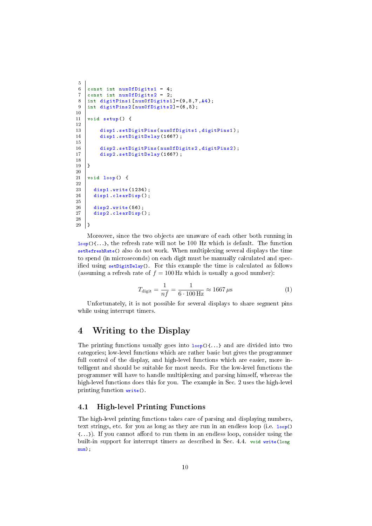```
5
6 const int numOfDigits1 = 4;<br>7 const int numOfDigits2 = 2.
     const int numOfDigits2 = 2;
8 int digitPins1 [num0fDigital] = {9, 8, 7, A4};<br>9 int digitPins2 [num0fDigital] = {6, 5}:9 int digitPins2 [ numOfDigits2 ]={6 ,5};
10
11 \vert void setup () {
12
13 disp1.setDigitPins (numOfDigits1, digitPins1);<br>14 disp1.setDigitDelay (1667);
           disp1 setDigitDelay (1667);
15
16 disp2.setDigitPins (numOfDigits2, digitPins2);<br>17 disp2.setDigitDelay (1667);
           disp2 . setDigitDelay (1667) ;
18
19 }
\frac{20}{21}void loop() {
\frac{22}{23}disp1 write (1234):
24 disp1 clearDisp();
\frac{25}{26}disp2 write (56):
27 disp2 clearDisp();
rac{28}{29}\vert }
```
Moreover, since the two objects are unaware of each other both running in  $\log(1 \ldots)$ , the refresh rate will not be 100 Hz which is default. The function setRefreshRate() also do not work. When multiplexing several displays the time to spend (in microseconds) on each digit must be manually calculated and specified using  $setDigitDelay()$ . For this example the time is calculated as follows (assuming a refresh rate of  $f = 100$  Hz which is usually a good number):

$$
T_{\text{digit}} = \frac{1}{nf} = \frac{1}{6 \cdot 100 \,\text{Hz}} \approx 1667 \,\mu\text{s} \tag{1}
$$

Unfortunately, it is not possible for several displays to share segment pins while using interrupt timers.

### 4 Writing to the Display

The printing functions usually goes into  $\text{loop}($  $\{ \ldots \}$  and are divided into two categories; low-level functions which are rather basic but gives the programmer full control of the display, and high-level functions which are easier, more intelligent and should be suitable for most needs. For the low-level functions the programmer will have to handle multiplexing and parsing himself, whereas the high-level functions does this for you. The example in Sec. 2 uses the high-level printing function write().

### 4.1 High-level Printing Functions

The high-level printing functions takes care of parsing and displaying numbers, text strings, etc. for you as long as they are run in an endless loop (i.e. loop()  $\{\ldots\}$ ). If you cannot afford to run them in an endless loop, consider using the built-in support for interrupt timers as described in Sec. 4.4. void write(long num):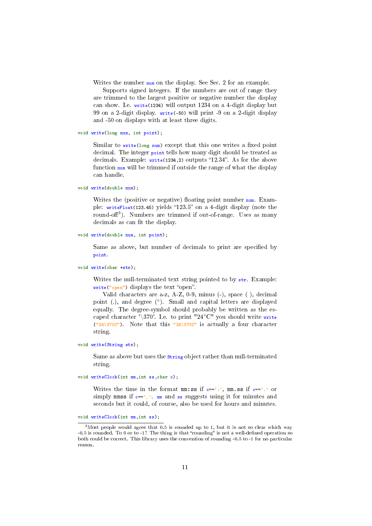Writes the number num on the display. See Sec. 2 for an example.

Supports signed integers. If the numbers are out of range they are trimmed to the largest positive or negative number the display can show. I.e. write(1234) will output 1234 on a 4-digit display but 99 on a 2-digit display. write(-50) will print -9 on a 2-digit display and -50 on displays with at least three digits.

void write(long num, int point);

Similar to  $write(long num)$  except that this one writes a fixed point decimal. The integer **point** tells how many digit should be treated as decimals. Example: write(1234,2) outputs "12.34". As for the above function num will be trimmed if outside the range of what the display can handle.

```
void write(double num);
```
Writes the (positive or negative) floating point number  $num$ . Example:  $writeFloat(123.45)$  yields "123.5" on a 4-digit display (note the round-off<sup>3</sup>). Numbers are trimmed if out-of-range. Uses as many decimals as can fit the display.

```
void write(double num, int point);
```
Same as above, but number of decimals to print are specified by point.

```
void write(char *str);
```
Writes the null-terminated text string pointed to by str. Example:  $write("open")$  displays the text "open".

Valid characters are a-z, A-Z, 0-9, minus (-), space ( ), decimal point (.), and degree (°). Small and capital letters are displayed equally. The degree-symbol should probably be written as the escaped character '\370'. I.e. to print "24°C" you should write write ("24\370C"). Note that this "24\370C" is actually a four character string.

```
void write(String str);
```
Same as above but uses the string object rather than null-terminated string.

void writeClock(int mm,int ss,char c);

Writes the time in the format mm:ss if  $c == '$ :', mm.ss if  $c == '$ .' or simply mmss if  $c == '$ . mm and ss suggests using it for minutes and seconds but it could, of course, also be used for hours and minutes.

void writeClock(int mm,int ss);

 $3$ Most people would agree that 0.5 is rounded up to 1, but it is not so clear which way  $-0.5$  is rounded. To 0 or to  $-1$ ? The thing is that "rounding" is not a well-defined operation so both could be correct. This library uses the convention of rounding -0.5 to -1 for no particular reason.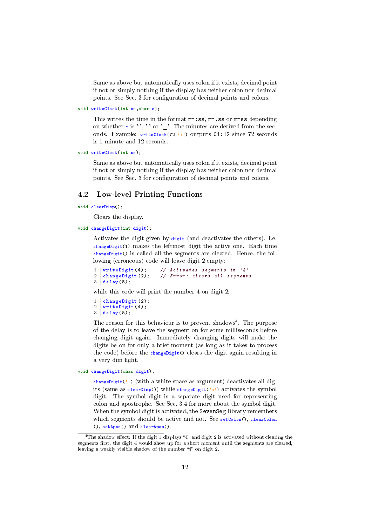Same as above but automatically uses colon if it exists, decimal point if not or simply nothing if the display has neither colon nor decimal points. See Sec. 3 for configuration of decimal points and colons.

```
void writeClock(int ss,char c);
```
This writes the time in the format mm:ss, mm.ss or mmss depending on whether  $\mathbf{c}$  is ':', '.' or '.'. The minutes are derived from the seconds. Example: writeClock(72,':') outputs 01:12 since 72 seconds is 1 minute and 12 seconds.

```
void writeClock(int ss);
```
Same as above but automatically uses colon if it exists, decimal point if not or simply nothing if the display has neither colon nor decimal points. See Sec. 3 for configuration of decimal points and colons.

#### 4.2 Low-level Printing Functions

void clearDisp();

Clears the display.

```
void changeDigit(int digit);
```
Activates the digit given by digit (and deactivates the others). I.e. changeDigit(1) makes the leftmost digit the active one. Each time changeDigit() is called all the segments are cleared. Hence, the following (erroneous) code will leave digit 2 empty:

```
1 writeDigit (4); // Activates segments in '4'<br>2 changeDigit (2); // Error: clears all segment
2 changeDigit(2); // Error: clears all segments
3 \mid \text{delay}(5);
```
while this code will print the number 4 on digit 2:

```
1 | changeDigit (2);
2 writeDigit (4) ;
3 \mid \text{delay}(5);
```
The reason for this behaviour is to prevent shadows<sup>4</sup>. The purpose of the delay is to leave the segment on for some milliseconds before changing digit again. Immediately changing digits will make the digits be on for only a brief moment (as long as it takes to process the code) before the changeDigit() clears the digit again resulting in a very dim light.

void changeDigit(char digit);

changeDigit('') (with a white space as argument) deactivates all digits (same as  $\text{clearDisp}()$ ) while changeDigit('s') activates the symbol digit. The symbol digit is a separate digit used for representing colon and apostrophe. See Sec. 3.4 for more about the symbol digit. When the symbol digit is activated, the SevenSeg-library remembers which segments should be active and not. See setColon(), clearColon (), setApos() and clearApos().

<sup>&</sup>lt;sup>4</sup>The shadow effect: If the digit 1 displays "4" and digit 2 is activated without clearing the segments first, the digit 4 would show up for a short moment until the segments are cleared, leaving a weakly visible shadow of the number " $4$ " on digit 2.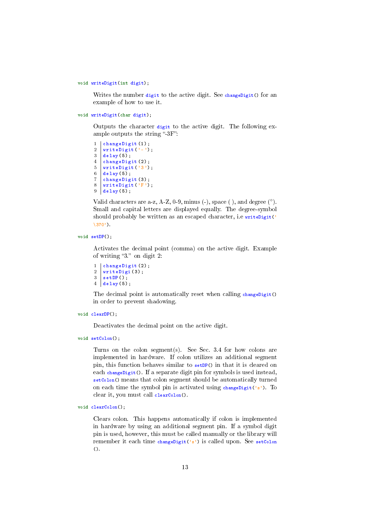#### void writeDigit(int digit);

Writes the number digit to the active digit. See changeDigit() for an example of how to use it.

```
void writeDigit(char digit);
```
Outputs the character digit to the active digit. The following example outputs the string "- $3F$ ":

```
1 | changeDigit (1);
2 writeDigit (') - ');<br>3 delay (5):
     delay(5);4 changeDigit (2);
\begin{array}{c} 5 \\ 6 \end{array} writeDigit ('3');
    delay(5);
7 changeDigit (3) ;
\begin{array}{c} 8 \\ 9 \end{array} writeDigit ('F');
   \vert delay (5) ;
```
Valid characters are a-z, A-Z, 0-9, minus  $(-)$ , space  $($   $)$ , and degree  $(°)$ . Small and capital letters are displayed equally. The degree-symbol should probably be written as an escaped character, i.e  $\text{writeDigit}$ \370').

```
void setDP();
```
Activates the decimal point (comma) on the active digit. Example of writing "3." on digit 2:

```
\begin{array}{c|c} 1 & \text{changeDigit}(2); \\ 2 & \text{writeDigit}(3). \end{array}2 \begin{array}{c|c} \n2 & \text{writeDigit}(3); \\
3 & \text{setDP} \n\end{array}\begin{array}{c|c} 3 & \text{setDP()}; \\ 4 & \text{delay(5)} \end{array}delay(5);
```
The decimal point is automatically reset when calling changeDigit() in order to prevent shadowing.

```
void clearDP();
```
Deactivates the decimal point on the active digit.

```
void setColon();
```
Turns on the colon segment(s). See Sec. 3.4 for how colons are implemented in hardware. If colon utilizes an additional segment pin, this function behaves similar to setDP() in that it is cleared on each changeDigit(). If a separate digit pin for symbols is used instead, setColon() means that colon segment should be automatically turned on each time the symbol pin is activated using changeDigit('s'). To clear it, you must call clearColon().

```
void clearColon();
```
Clears colon. This happens automatically if colon is implemented in hardware by using an additional segment pin. If a symbol digit pin is used, however, this must be called manually or the library will remember it each time changeDigit('s') is called upon. See setColon ().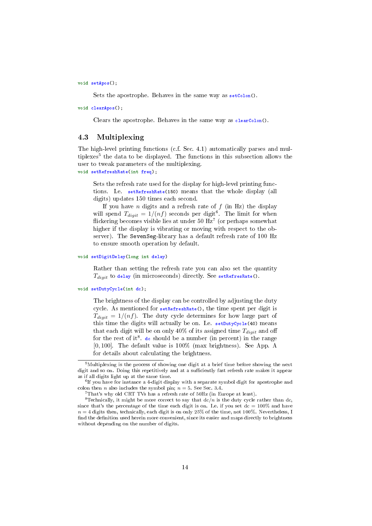void setApos();

Sets the apostrophe. Behaves in the same way as setColon().

void clearApos();

Clears the apostrophe. Behaves in the same way as clearColon().

### 4.3 Multiplexing

The high-level printing functions (c.f. Sec. 4.1) automatically parses and multiplexes<sup>5</sup> the data to be displayed. The functions in this subsection allows the user to tweak parameters of the multiplexing.

void setRefreshRate(int freq);

Sets the refresh rate used for the display for high-level printing functions. I.e. setRefreshRate(150) means that the whole display (all digits) updates 150 times each second.

If you have n digits and a refresh rate of  $f$  (in Hz) the display will spend  $T_{digit} = 1/(nf)$  seconds per digit<sup>6</sup>. The limit for when flickering becomes visible lies at under 50  $\overline{Hz}^7$  (or perhaps somewhat higher if the display is vibrating or moving with respect to the observer). The SevenSeg-library has a default refresh rate of 100 Hz to ensure smooth operation by default.

#### void setDigitDelay(long int delay)

Rather than setting the refresh rate you can also set the quantity  $T_{digit}$  to delay (in microseconds) directly. See setRefresRate().

#### void setDutyCycle(int dc);

The brightness of the display can be controlled by adjusting the duty cycle. As mentioned for setRefreshRate(), the time spent per digit is  $T_{digit} = 1/(nf)$ . The duty cycle determines for how large part of this time the digits will actually be on. I.e. setDutyCycle(40) means that each digit will be on only 40% of its assigned time  $T_{digit}$  and off for the rest of it<sup>8</sup>. de should be a number (in percent) in the range [0, 100]. The default value is 100% (max brightness). See App. A for details about calculating the brightness.

 $5$ Multiplexing is the process of showing one digit at a brief time before showing the next digit and so on. Doing this repetitively and at a sufficiently fast refresh rate makes it appear as if all digits light up at the same time.

 $6$  If you have for instance a 4-digit display with a separate symbol digit for apostrophe and colon then *n* also includes the symbol pin:  $n = 5$ . See Sec. 3.4.

<sup>7</sup>That's why old CRT TVs has a refresh rate of 50Hz (in Europe at least).

<sup>&</sup>lt;sup>8</sup>Technically, it might be more correct to say that  $dc/n$  is the duty cycle rather than dc, since that's the percentage of the time each digit is on. I.e. if you set  $dc = 100\%$  and have  $n = 4$  digits then, technically, each digit is on only 25% of the time, not 100%. Nevertheless, I find the definition used herein more convenient, since its easier and maps directly to brightness without depending on the number of digits.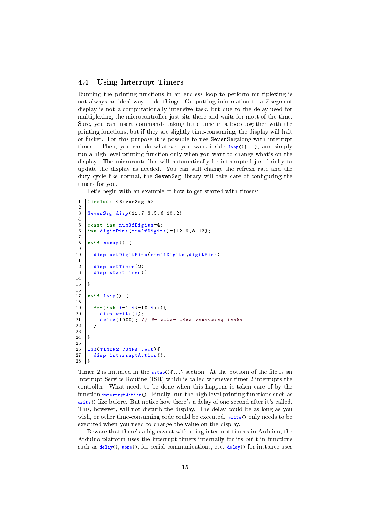### 4.4 Using Interrupt Timers

Running the printing functions in an endless loop to perform multiplexing is not always an ideal way to do things. Outputting information to a 7-segment display is not a computationally intensive task, but due to the delay used for multiplexing, the microcontroller just sits there and waits for most of the time. Sure, you can insert commands taking little time in a loop together with the printing functions, but if they are slightly time-consuming, the display will halt or flicker. For this purpose it is possible to use SevenSegalong with interrupt timers. Then, you can do whatever you want inside  $loop(1...)$ , and simply run a high-level printing function only when you want to change what's on the display. The microcontroller will automatically be interrupted just briefly to update the display as needed. You can still change the refresh rate and the duty cycle like normal, the SevenSeg-library will take care of configuring the timers for you.

Let's begin with an example of how to get started with timers:

```
1 | #include < SevenSeg.h>
2
3 SevenSeg disp (11 ,7 ,3 ,5 ,6 ,10 ,2) ;
4
5 const int numOfDigits=4;
6 | int digitPins [numOfDigits] = {12, 9, 8, 13};
7
8 void setup () {
\begin{array}{c} 9 \\ 10 \end{array}disp . setDigitPins ( numOfDigits , digitPins ) ;
\frac{11}{12}disp setTimer(2):
13 disp startTimer ();
14
15 \mid }
16
17 void loop() {
18
19 \begin{cases}\n 19 \text{ for (int } i = 1; i < = 10; i++)\n 120\n \end{cases}\begin{array}{c|c} 20 & \text{disp write (i);} \\ 21 & \text{delay (1000):} \end{array}delay (1000); // Or other time - consuming tasks
22 }
23
24 \mid }
25
26 | ISR (TIMER2_COMPA_vect) {
27 disp interruptAction ();<br>28 }
28
```
Timer 2 is initiated in the setup() $\{\ldots\}$  section. At the bottom of the file is an Interrupt Service Routine (ISR) which is called whenever timer 2 interrupts the controller. What needs to be done when this happens is taken care of by the function interruptAction(). Finally, run the high-level printing functions such as write() like before. But notice how there's a delay of one second after it's called. This, however, will not disturb the display. The delay could be as long as you wish, or other time-consuming code could be executed. write() only needs to be executed when you need to change the value on the display.

Beware that there's a big caveat with using interrupt timers in Arduino; the Arduino platform uses the interrupt timers internally for its built-in functions such as  $delay()$ , tone(), for serial communications, etc.  $delay()$  for instance uses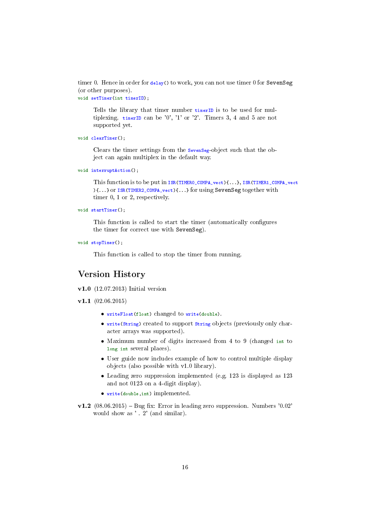timer 0. Hence in order for delay() to work, you can not use timer 0 for SevenSeg (or other purposes).

```
void setTimer(int timerID);
```
Tells the library that timer number timerID is to be used for multiplexing. timerID can be '0', '1' or '2'. Timers 3, 4 and 5 are not supported yet.

```
void clearTimer();
```
Clears the timer settings from the SevenSeg-object such that the object can again multiplex in the default way.

```
void interruptAction();
```
This function is to be put in ISR(TIMER0\_COMPA\_vect){...}, ISR(TIMER1\_COMPA\_vect ){...} or ISR(TIMER2\_COMPA\_vect){...} for using SevenSeg together with timer 0, 1 or 2, respectively.

```
void startTimer();
```
This function is called to start the timer (automatically configures the timer for correct use with SevenSeg).

void stopTimer();

This function is called to stop the timer from running.

# Version History

v1.0 (12.07.2013) Initial version

v1.1  $(02.06.2015)$ 

- writeFloat(float) changed to write(double).
- write(String) created to support String objects (previously only character arrays was supported).
- Maximum number of digits increased from 4 to 9 (changed int to long int several places).
- User guide now includes example of how to control multiple display objects (also possible with v1.0 library).
- Leading zero suppression implemented (e.g. 123 is displayed as 123 and not 0123 on a 4-digit display).
- write(double,int) implemented.
- $v1.2$  (08.06.2015) Bug fix: Error in leading zero suppression. Numbers '0.02' would show as ' . 2' (and similar).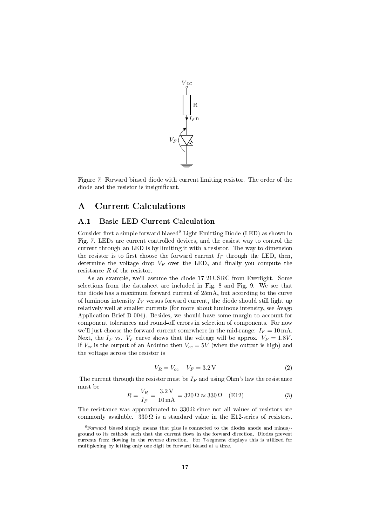

Figure 7: Forward biased diode with current limiting resistor. The order of the diode and the resistor is insignicant.

# A Current Calculations

### A.1 Basic LED Current Calculation

Consider first a simple forward biased<sup>9</sup> Light Emitting Diode (LED) as shown in Fig. 7. LEDs are current controlled devices, and the easiest way to control the current through an LED is by limiting it with a resistor. The way to dimension the resistor is to first choose the forward current  $I_F$  through the LED, then, determine the voltage drop  $V_F$  over the LED, and finally you compute the resistance R of the resistor.

As an example, we'll assume the diode 17-21USRC from Everlight. Some selections from the datasheet are included in Fig. 8 and Fig. 9. We see that the diode has a maximum forward current of 25mA, but according to the curve of luminous intensity  $I_V$  versus forward current, the diode should still light up relatively well at smaller currents (for more about luminous intensity, see Avago Application Brief D-004). Besides, we should have some margin to account for component tolerances and round-off errors in selection of components. For now we'll just choose the forward current somewhere in the mid-range:  $I_F = 10 \text{ mA}$ . Next, the  $I_F$  vs.  $V_F$  curve shows that the voltage will be approx.  $V_F = 1.8V$ . If  $V_{cc}$  is the output of an Arduino then  $V_{cc} = 5V$  (when the output is high) and the voltage across the resistor is

$$
V_R = V_{cc} - V_F = 3.2 \,\text{V} \tag{2}
$$

The current through the resistor must be  $I_F$  and using Ohm's law the resistance must be

$$
R = \frac{V_R}{I_F} = \frac{3.2 \,\text{V}}{10 \,\text{mA}} = 320 \,\Omega \approx 330 \,\Omega \quad \text{(E12)}\tag{3}
$$

The resistance was approximated to  $330\Omega$  since not all values of resistors are commonly available.  $330\Omega$  is a standard value in the E12-series of resistors.

<sup>9</sup>Forward biased simply means that plus is connected to the diodes anode and minus/ ground to its cathode such that the current flows in the forward direction. Diodes prevent currents from flowing in the reverse direction. For 7-segment displays this is utilized for multiplexing by letting only one digit be forward biased at a time.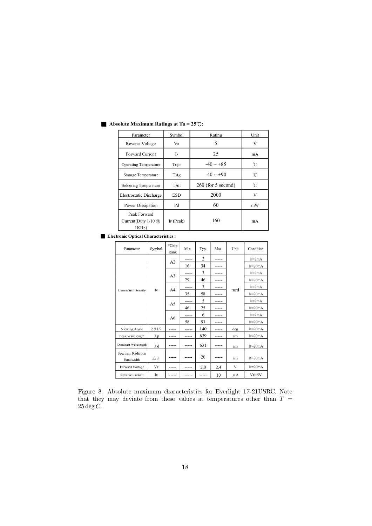| Parameter                                           | Symbol    | Rating               | Unit |
|-----------------------------------------------------|-----------|----------------------|------|
| Reverse Voltage                                     | Vr        | 5                    | V    |
| <b>Forward Current</b>                              | IF        | 25                   | mA   |
| <b>Operating Temperature</b>                        | Topr      | $-40 \sim +85$       | °C   |
| Storage Temperature                                 | Tstg      | $-40 \sim +90$       | °C   |
| Soldering Temperature                               | Tsol      | $260$ (for 5 second) | °С   |
| Electrostatic Discharge                             | ESD       | 2000                 | V    |
| Power Dissipation                                   | Pd        | 60                   | mW   |
| Peak Forward<br>Current(Duty $1/10$ $@$<br>$1KHz$ ) | IF (Peak) | 160                  | mA   |

### Absolute Maximum Ratings at Ta =  $25^{\circ}\text{C}$ :

**Electronic Optical Characteristics:** 

| Parameter                       | Symbol         | *Chip<br>Rank  | Min.  | Typ.  | Max.    | Unit    | Condition   |
|---------------------------------|----------------|----------------|-------|-------|---------|---------|-------------|
| Luminous Intensity              | Iv             | A2             | ----- | 2     | -----   | mcd     | $I_F=2mA$   |
|                                 |                |                | 16    | 34    | -----   |         | $IF = 20mA$ |
|                                 |                | A3             | ----- | 3     | $--- -$ |         | $Ir=2mA$    |
|                                 |                |                | 29    | 46    | -----   |         | $I_F=20mA$  |
|                                 |                | A <sub>4</sub> | ----- | 3     | -----   |         | $IF = 2mA$  |
|                                 |                |                | 35    | 58    | -----   |         | $IF=20mA$   |
|                                 |                | A <sub>5</sub> | ----- | 5     | -----   |         | $IF=2mA$    |
|                                 |                |                | 46    | 75    | -----   |         | $IF = 20mA$ |
|                                 |                | A6             | ----- | 6     | -----   |         | $IF = 2mA$  |
|                                 |                |                | 58    | 93    |         |         | $IF=20mA$   |
| Viewing Angle                   | $2 \theta 1/2$ |                | ----- | 140   | -----   | deg     | $IF=20mA$   |
| Peak Wavelength                 | $\lambda$ p    | -----          | ----- | 639   | -----   | nm      | $I_F=20mA$  |
| Dominant Wavelength             | $\lambda$ d    | -----          | ----- | 631   | -----   | nm      | $I_F=20mA$  |
| Spectrum Radiation<br>Bandwidth | Δλ             | -----          | ----- | 20    | -----   | nm      | $IF=20mA$   |
| Forward Voltage                 | $V_F$          | -----          | ----- | 2.0   | 2.4     | V       | $IF=20mA$   |
| Reverse Current                 | IR             | -----          | ----- | ----- | 10      | $\mu$ A | $V_{R}=5V$  |

Figure 8: Absolute maximum characteristics for Everlight 17-21USRC. Note that they may deviate from these values at temperatures other than  $T =$  $25 \deg C$ .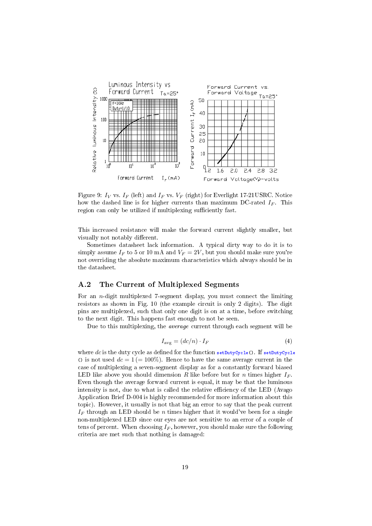

Figure 9:  $I_V$  vs.  $I_F$  (left) and  $I_F$  vs.  $V_F$  (right) for Everlight 17-21USRC. Notice how the dashed line is for higher currents than maximum DC-rated  $I_F$ . This region can only be utilized if multiplexing sufficiently fast.

This increased resistance will make the forward current slightly smaller, but visually not notably different.

Sometimes datasheet lack information. A typical dirty way to do it is to simply assume  $I_F$  to 5 or 10 mA and  $V_F = 2V$ , but you should make sure you're not overriding the absolute maximum characteristics which always should be in the datasheet.

### A.2 The Current of Multiplexed Segments

For an n-digit multiplexed 7-segment display, you must connect the limiting resistors as shown in Fig. 10 (the example circuit is only 2 digits). The digit pins are multiplexed, such that only one digit is on at a time, before switching to the next digit. This happens fast enough to not be seen.

Due to this multiplexing, the average current through each segment will be

$$
I_{\text{avg}} = (dc/n) \cdot I_F \tag{4}
$$

where dc is the duty cycle as defined for the function setDutyCycle(). If setDutyCycle () is not used  $dc = 1 (= 100\%)$ . Hence to have the same average current in the case of multiplexing a seven-segment display as for a constantly forward biased LED like above you should dimension R like before but for n times higher  $I_F$ . Even though the average forward current is equal, it may be that the luminous intensity is not, due to what is called the relative efficiency of the LED (Avago Application Brief D-004 is highly recommended for more information about this topic). However, it usually is not that big an error to say that the peak current  $I_F$  through an LED should be *n* times higher that it would've been for a single non-multiplexed LED since our eyes are not sensitive to an error of a couple of tens of percent. When choosing  $I_F$ , however, you should make sure the following criteria are met such that nothing is damaged: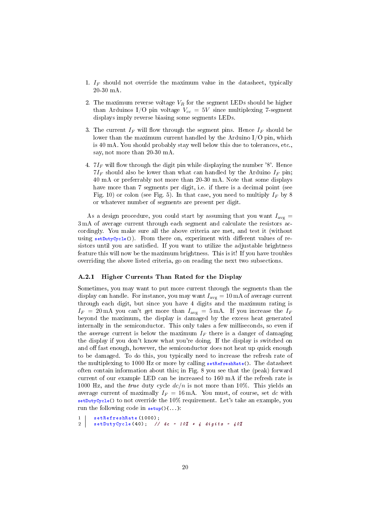- 1.  $I_F$  should not override the maximum value in the datasheet, typically 20-30 mA.
- 2. The maximum reverse voltage  $V_R$  for the segment LEDs should be higher than Arduinos I/O pin voltage  $V_{cc} = 5V$  since multiplexing 7-segment displays imply reverse biasing some segments LEDs.
- 3. The current  $I_F$  will flow through the segment pins. Hence  $I_F$  should be lower than the maximum current handled by the Arduino I/O pin, which is 40 mA. You should probably stay well below this due to tolerances, etc., say, not more than 20-30 mA.
- 4.  $7I_F$  will flow through the digit pin while displaying the number '8'. Hence  $7I<sub>F</sub>$  should also be lower than what can handled by the Arduino  $I<sub>F</sub>$  pin; 40 mA or preferrably not more than 20-30 mA. Note that some displays have more than 7 segments per digit, i.e. if there is a decimal point (see Fig. 10) or colon (see Fig. 5). In that case, you need to multiply  $I_F$  by 8 or whatever number of segments are present per digit.

As a design procedure, you could start by assuming that you want  $I_{\text{avg}} =$ 3 mA of average current through each segment and calculate the resistors accordingly. You make sure all the above criteria are met, and test it (without using  $setPutcycle()$ . From there on, experiment with different values of resistors until you are satisfied. If you want to utilize the adjustable brightness feature this will now be the maximum brightness. This is it! If you have troubles overriding the above listed criteria, go on reading the next two subsections.

### A.2.1 Higher Currents Than Rated for the Display

Sometimes, you may want to put more current through the segments than the display can handle. For instance, you may want  $I_{\text{avg}} = 10 \text{ mA}$  of average current through each digit, but since you have 4 digits and the maximum rating is  $I_F = 20 \text{ mA}$  you can't get more than  $I_{\text{avg}} = 5 \text{ mA}$ . If you increase the  $I_F$ beyond the maximum, the display is damaged by the excess heat generated internally in the semiconductor. This only takes a few milliseconds, so even if the *average* current is below the maximum  $I_F$  there is a danger of damaging the display if you don't know what you're doing. If the display is switched on and off fast enough, however, the semiconductor does not heat up quick enough to be damaged. To do this, you typically need to increase the refresh rate of the multiplexing to 1000 Hz or more by calling setRefreshRate(). The datasheet often contain information about this; in Fig. 8 you see that the (peak) forward current of our example LED can be increased to 160 mA if the refresh rate is 1000 Hz, and the true duty cycle  $dc/n$  is not more than 10%. This yields an average current of maximally  $I_F = 16 \text{ mA}$ . You must, of course, set dc with setDutyCycle() to not override the  $10\%$  requirement. Let's take an example, you run the following code in  $\text{setup}( )$ {...}:

1 | setRefreshRate (1000);

2 setDutyCycle (40) ; // dc = 10% \* 4 digits = 40%